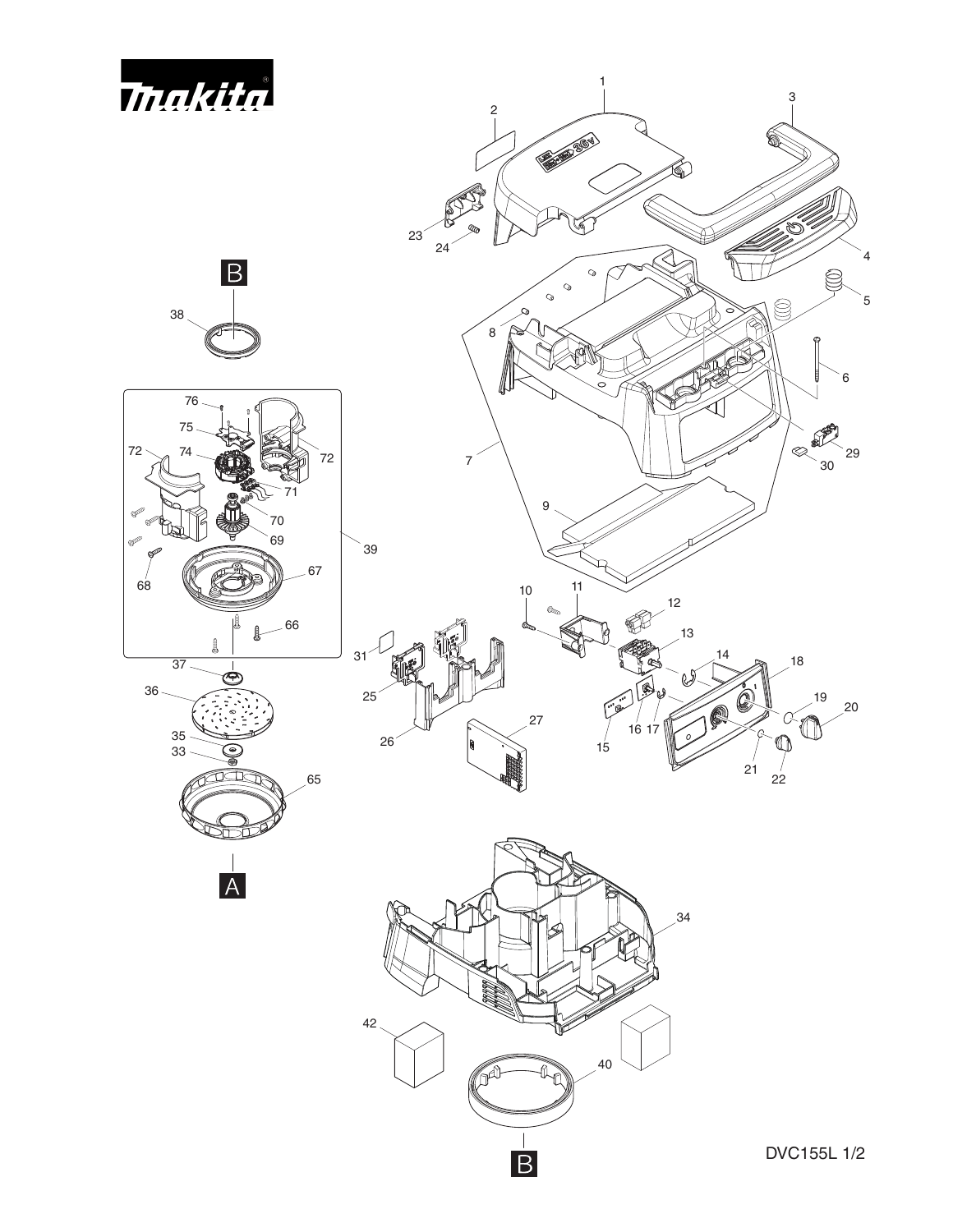







 $\overline{A}$ 





DVC155L 1/2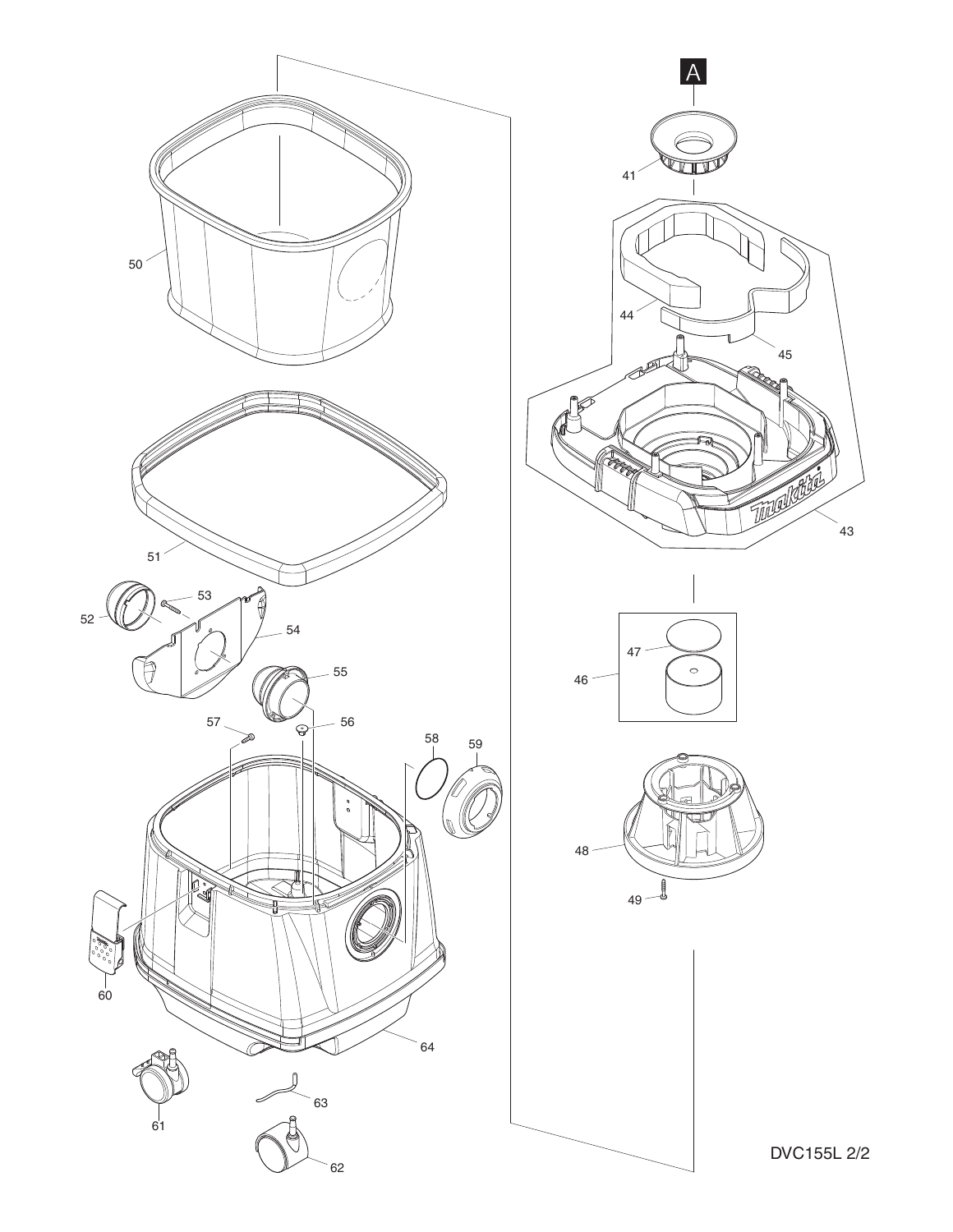

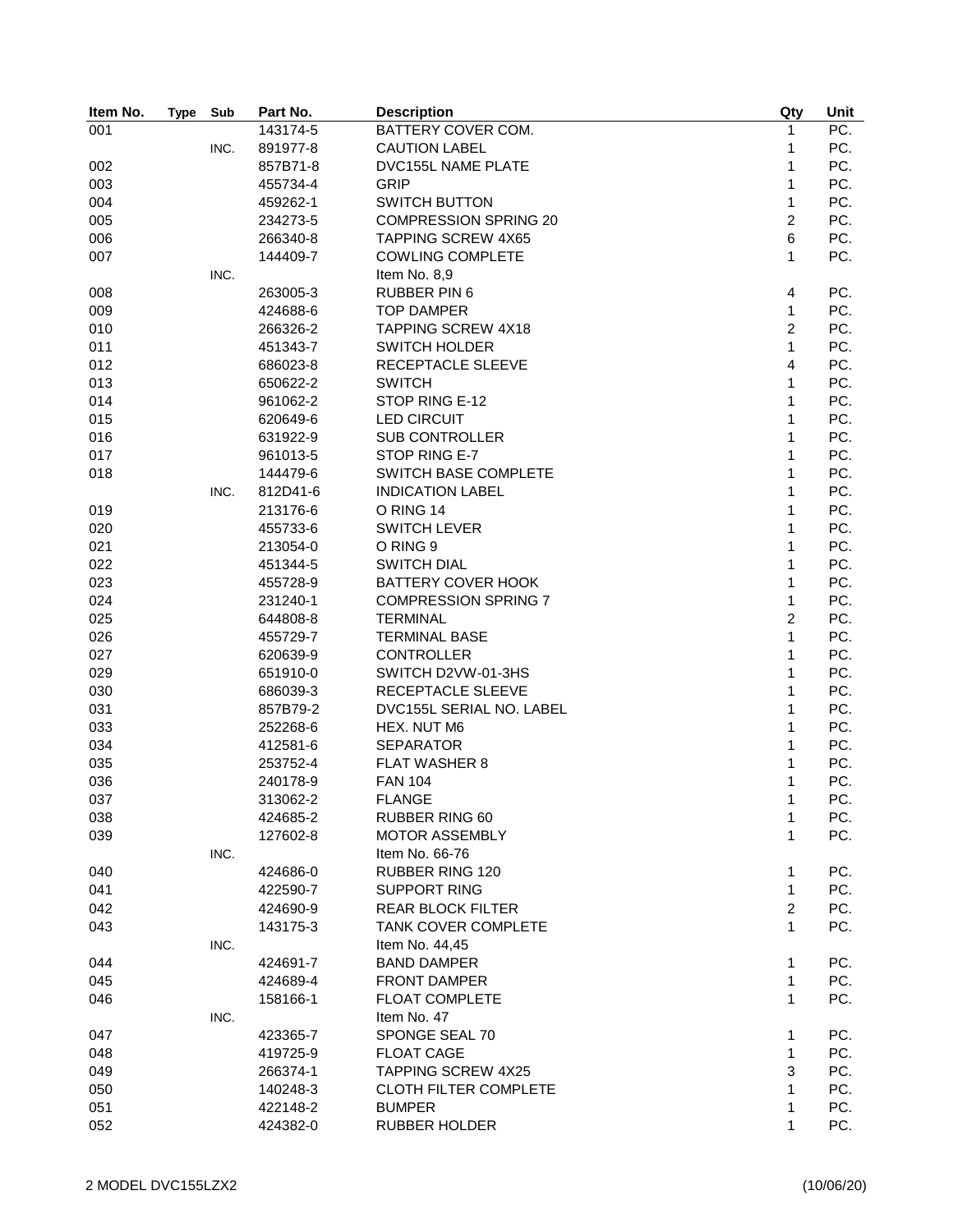| Item No. | <b>Type</b> | Sub  | Part No. | <b>Description</b>           | Qty            | Unit              |
|----------|-------------|------|----------|------------------------------|----------------|-------------------|
| 001      |             |      | 143174-5 | BATTERY COVER COM.           | $\mathbf{1}$   | $\overline{PC}$ . |
|          |             | INC. | 891977-8 | <b>CAUTION LABEL</b>         | 1              | PC.               |
| 002      |             |      | 857B71-8 | DVC155L NAME PLATE           | 1              | PC.               |
| 003      |             |      | 455734-4 | <b>GRIP</b>                  | 1              | PC.               |
| 004      |             |      | 459262-1 | <b>SWITCH BUTTON</b>         | 1              | PC.               |
| 005      |             |      | 234273-5 | <b>COMPRESSION SPRING 20</b> | $\overline{2}$ | PC.               |
| 006      |             |      | 266340-8 | <b>TAPPING SCREW 4X65</b>    | 6              | PC.               |
| 007      |             |      | 144409-7 | <b>COWLING COMPLETE</b>      | $\mathbf{1}$   | PC.               |
|          |             | INC. |          | Item No. 8,9                 |                |                   |
| 008      |             |      | 263005-3 | <b>RUBBER PIN 6</b>          | 4              | PC.               |
| 009      |             |      | 424688-6 | <b>TOP DAMPER</b>            | $\mathbf{1}$   | PC.               |
| 010      |             |      | 266326-2 | <b>TAPPING SCREW 4X18</b>    | $\overline{c}$ | PC.               |
| 011      |             |      | 451343-7 | <b>SWITCH HOLDER</b>         | $\mathbf{1}$   | PC.               |
| 012      |             |      | 686023-8 | RECEPTACLE SLEEVE            | 4              | PC.               |
| 013      |             |      | 650622-2 | <b>SWITCH</b>                | $\mathbf{1}$   | PC.               |
| 014      |             |      | 961062-2 | STOP RING E-12               | $\mathbf{1}$   | PC.               |
| 015      |             |      | 620649-6 | <b>LED CIRCUIT</b>           | 1              | PC.               |
| 016      |             |      | 631922-9 | <b>SUB CONTROLLER</b>        | 1              | PC.               |
| 017      |             |      | 961013-5 | STOP RING E-7                | 1              | PC.               |
| 018      |             |      | 144479-6 | SWITCH BASE COMPLETE         | 1              | PC.               |
|          |             | INC. | 812D41-6 | <b>INDICATION LABEL</b>      | 1              | PC.               |
| 019      |             |      | 213176-6 | O RING 14                    | 1              | PC.               |
| 020      |             |      | 455733-6 | <b>SWITCH LEVER</b>          | 1              | PC.               |
|          |             |      |          |                              | 1              | PC.               |
| 021      |             |      | 213054-0 | O RING 9                     |                |                   |
| 022      |             |      | 451344-5 | <b>SWITCH DIAL</b>           | 1              | PC.               |
| 023      |             |      | 455728-9 | <b>BATTERY COVER HOOK</b>    | $\mathbf{1}$   | PC.               |
| 024      |             |      | 231240-1 | <b>COMPRESSION SPRING 7</b>  | $\mathbf{1}$   | PC.               |
| 025      |             |      | 644808-8 | <b>TERMINAL</b>              | $\overline{c}$ | PC.               |
| 026      |             |      | 455729-7 | <b>TERMINAL BASE</b>         | $\mathbf{1}$   | PC.               |
| 027      |             |      | 620639-9 | <b>CONTROLLER</b>            | $\mathbf{1}$   | PC.               |
| 029      |             |      | 651910-0 | SWITCH D2VW-01-3HS           | $\mathbf{1}$   | PC.               |
| 030      |             |      | 686039-3 | RECEPTACLE SLEEVE            | $\mathbf{1}$   | PC.               |
| 031      |             |      | 857B79-2 | DVC155L SERIAL NO. LABEL     | $\mathbf{1}$   | PC.               |
| 033      |             |      | 252268-6 | HEX. NUT M6                  | $\mathbf{1}$   | PC.               |
| 034      |             |      | 412581-6 | <b>SEPARATOR</b>             | 1              | PC.               |
| 035      |             |      | 253752-4 | <b>FLAT WASHER 8</b>         | 1              | PC.               |
| 036      |             |      | 240178-9 | <b>FAN 104</b>               | 1              | PC.               |
| 037      |             |      | 313062-2 | <b>FLANGE</b>                | 1              | PC.               |
| 038      |             |      | 424685-2 | <b>RUBBER RING 60</b>        | 1              | PC.               |
| 039      |             |      | 127602-8 | <b>MOTOR ASSEMBLY</b>        | 1              | PC.               |
|          |             | INC. |          | Item No. 66-76               |                |                   |
| 040      |             |      | 424686-0 | RUBBER RING 120              | 1              | PC.               |
| 041      |             |      | 422590-7 | <b>SUPPORT RING</b>          | 1              | PC.               |
| 042      |             |      | 424690-9 | REAR BLOCK FILTER            | $\overline{c}$ | PC.               |
| 043      |             |      | 143175-3 | <b>TANK COVER COMPLETE</b>   | 1              | PC.               |
|          |             | INC. |          | Item No. 44,45               |                |                   |
| 044      |             |      | 424691-7 | <b>BAND DAMPER</b>           | 1              | PC.               |
| 045      |             |      | 424689-4 | <b>FRONT DAMPER</b>          | 1              | PC.               |
| 046      |             |      | 158166-1 | FLOAT COMPLETE               | 1              | PC.               |
|          |             | INC. |          | Item No. 47                  |                |                   |
| 047      |             |      | 423365-7 | SPONGE SEAL 70               | 1              | PC.               |
| 048      |             |      | 419725-9 | <b>FLOAT CAGE</b>            | 1              | PC.               |
| 049      |             |      | 266374-1 | TAPPING SCREW 4X25           | 3              | PC.               |
| 050      |             |      | 140248-3 | <b>CLOTH FILTER COMPLETE</b> | 1              | PC.               |
| 051      |             |      | 422148-2 | <b>BUMPER</b>                | 1              | PC.               |
| 052      |             |      | 424382-0 | RUBBER HOLDER                | 1              | PC.               |